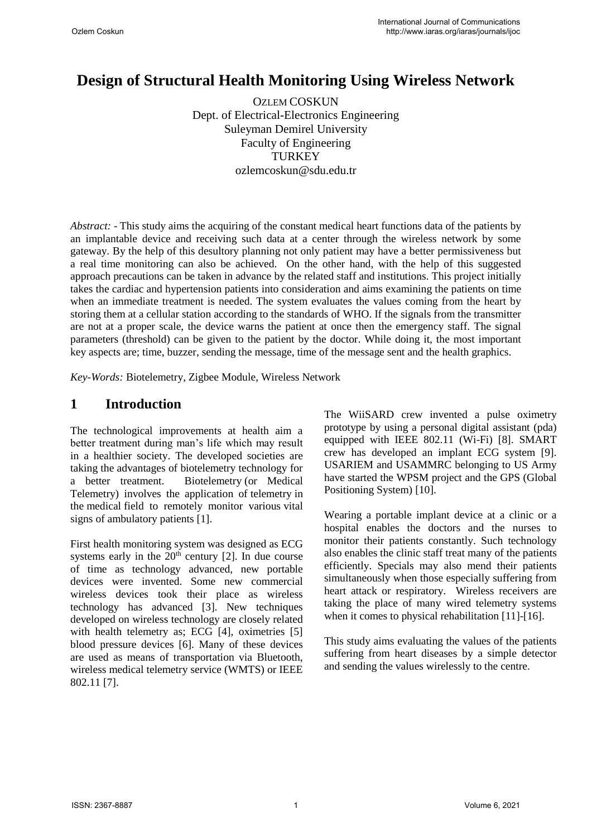# **Design of Structural Health Monitoring Using Wireless Network**

OZLEM COSKUN Dept. of Electrical-Electronics Engineering Suleyman Demirel University Faculty of Engineering **TURKEY** ozlemcoskun@sdu.edu.tr

*Abstract: -* This study aims the acquiring of the constant medical heart functions data of the patients by an implantable device and receiving such data at a center through the wireless network by some gateway. By the help of this desultory planning not only patient may have a better permissiveness but a real time monitoring can also be achieved. On the other hand, with the help of this suggested approach precautions can be taken in advance by the related staff and institutions. This project initially takes the cardiac and hypertension patients into consideration and aims examining the patients on time when an immediate treatment is needed. The system evaluates the values coming from the heart by storing them at a cellular station according to the standards of WHO. If the signals from the transmitter are not at a proper scale, the device warns the patient at once then the emergency staff. The signal parameters (threshold) can be given to the patient by the doctor. While doing it, the most important key aspects are; time, buzzer, sending the message, time of the message sent and the health graphics.

*Key-Words:* Biotelemetry, Zigbee Module, Wireless Network

### **1 Introduction**

The technological improvements at health aim a better treatment during man's life which may result in a healthier society. The developed societies are taking the advantages of biotelemetry technology for a better treatment. Biotelemetry (or Medical Telemetry) involves the application of telemetry in the medical field to remotely monitor various vital signs of ambulatory patients [1].

Fir[st health m](http://en.wikipedia.org/wiki/Medical)onitoring system was desi[gned as](http://en.wikipedia.org/wiki/Telemetry) [ECG](http://en.wikipedia.org/wiki/Vital_signs)  [system](http://en.wikipedia.org/wiki/Vital_signs)s early in the  $20<sup>th</sup>$  century [2]. In due course of time as technology advanced, new portable devices were invented. Some new commercial wireless devices took their place as wireless technology has advanced [3]. New techniques developed on wireless technology are closely related with health telemetry as; ECG [4], oximetries [5] blood pressure devices [6]. Many of these devices are used as means of transportation via Bluetooth, wireless medical telemetry service (WMTS) or IEEE 802.11 [7].

The WiiSARD crew invented a pulse oximetry prototype by using a personal digital assistant (pda) equipped with IEEE 802.11 (Wi-Fi) [8]. SMART crew has developed an implant ECG system [9]. USARIEM and USAMMRC belonging to US Army have started the WPSM project and the GPS (Global Positioning System) [10].

Wearing a portable implant device at a clinic or a hospital enables the doctors and the nurses to monitor their patients constantly. Such technology also enables the clinic staff treat many of the patients efficiently. Specials may also mend their patients simultaneously when those especially suffering from heart attack or respiratory. Wireless receivers are taking the place of many wired telemetry systems when it comes to physical rehabilitation [11]-[16].

This study aims evaluating the values of the patients suffering from heart diseases by a simple detector and sending the values wirelessly to the centre.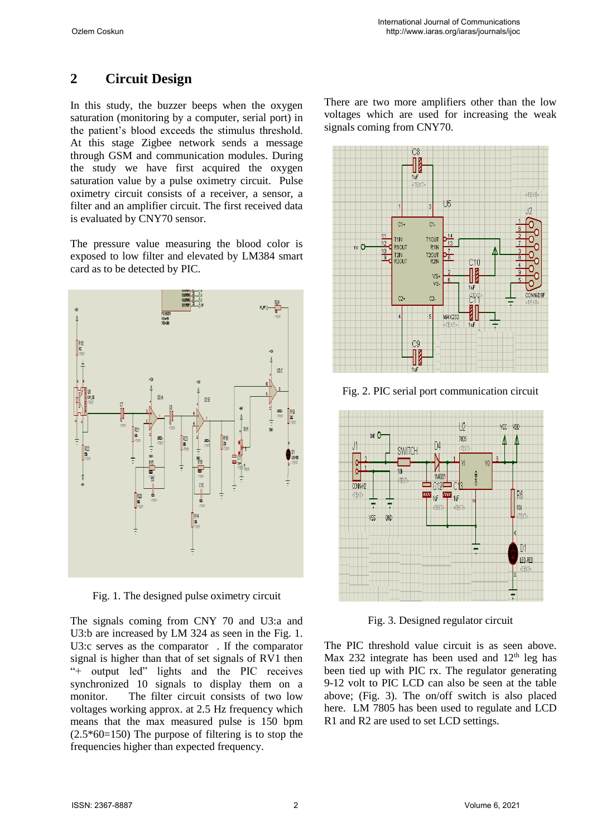## **2 Circuit Design**

In this study, the buzzer beeps when the oxygen saturation (monitoring by a computer, serial port) in the patient's blood exceeds the stimulus threshold. At this stage Zigbee network sends a message through GSM and communication modules. During the study we have first acquired the oxygen saturation value by a pulse oximetry circuit. Pulse oximetry circuit consists of a receiver, a sensor, a filter and an amplifier circuit. The first received data is evaluated by CNY70 sensor.

The pressure value measuring the blood color is exposed to low filter and elevated by LM384 smart card as to be detected by PIC.



Fig. 1. The designed pulse oximetry circuit

The signals coming from CNY 70 and U3:a and U3:b are increased by LM 324 as seen in the Fig. 1. U3:c serves as the comparator . If the comparator signal is higher than that of set signals of RV1 then "+ output led" lights and the PIC receives synchronized 10 signals to display them on a monitor. The filter circuit consists of two low voltages working approx. at 2.5 Hz frequency which means that the max measured pulse is 150 bpm  $(2.5*60=150)$  The purpose of filtering is to stop the frequencies higher than expected frequency.

There are two more amplifiers other than the low voltages which are used for increasing the weak signals coming from CNY70.



Fig. 2. PIC serial port communication circuit



Fig. 3. Designed regulator circuit

The PIC threshold value circuit is as seen above. Max 232 integrate has been used and  $12<sup>th</sup>$  leg has been tied up with PIC rx. The regulator generating 9-12 volt to PIC LCD can also be seen at the table above; (Fig. 3). The on/off switch is also placed here. LM 7805 has been used to regulate and LCD R1 and R2 are used to set LCD settings.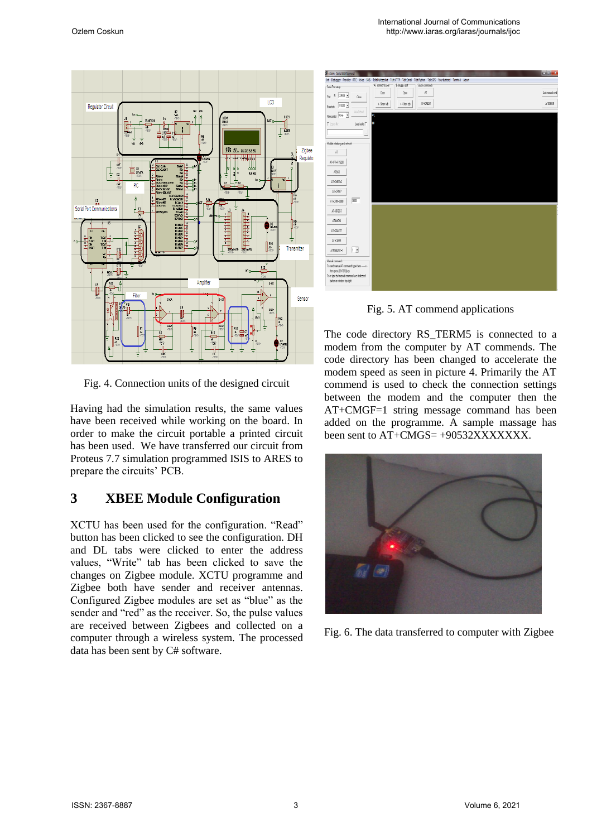

Fig. 4. Connection units of the designed circuit

Having had the simulation results, the same values have been received while working on the board. In order to make the circuit portable a printed circuit has been used. We have transferred our circuit from Proteus 7.7 simulation programmed ISIS to ARES to prepare the circuits' PCB.

#### **3 XBEE Module Configuration**

XCTU has been used for the configuration. "Read" button has been clicked to see the configuration. DH and DL tabs were clicked to enter the address values, "Write" tab has been clicked to save the changes on Zigbee module. XCTU programme and Zigbee both have sender and receiver antennas. Configured Zigbee modules are set as "blue" as the sender and "red" as the receiver. So, the pulse values are received between Zigbees and collected on a computer through a wireless system. The processed data has been sent by C# software.



Fig. 5. AT commend applications

The code directory RS\_TERM5 is connected to a modem from the computer by AT commends. The code directory has been changed to accelerate the modem speed as seen in picture 4. Primarily the AT commend is used to check the connection settings between the modem and the computer then the AT+CMGF=1 string message command has been added on the programme. A sample massage has been sent to AT+CMGS= +90532XXXXXXX.



Fig. 6. The data transferred to computer with Zigbee